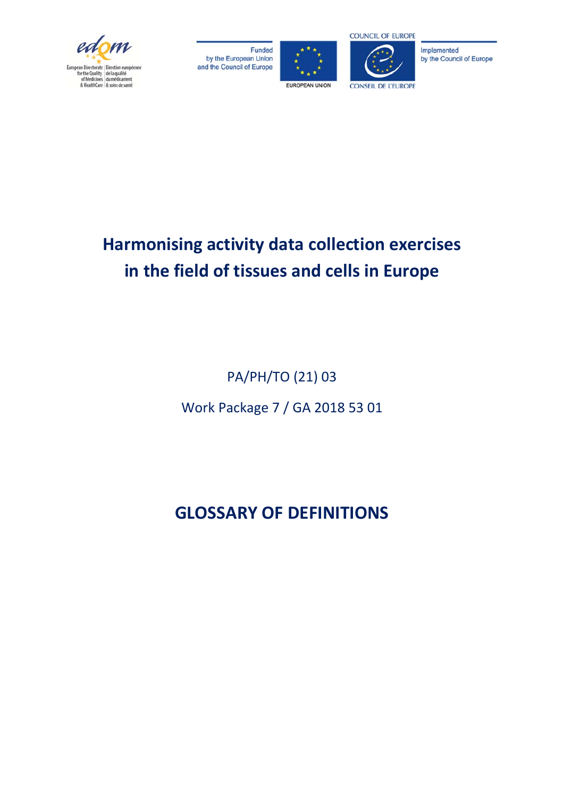





Implemented by the Council of Europe

## **Harmonising activity data collection exercises in the field of tissues and cells in Europe**

PA/PH/TO (21) 03 Work Package 7 / GA 2018 53 01

## **GLOSSARY OF DEFINITIONS**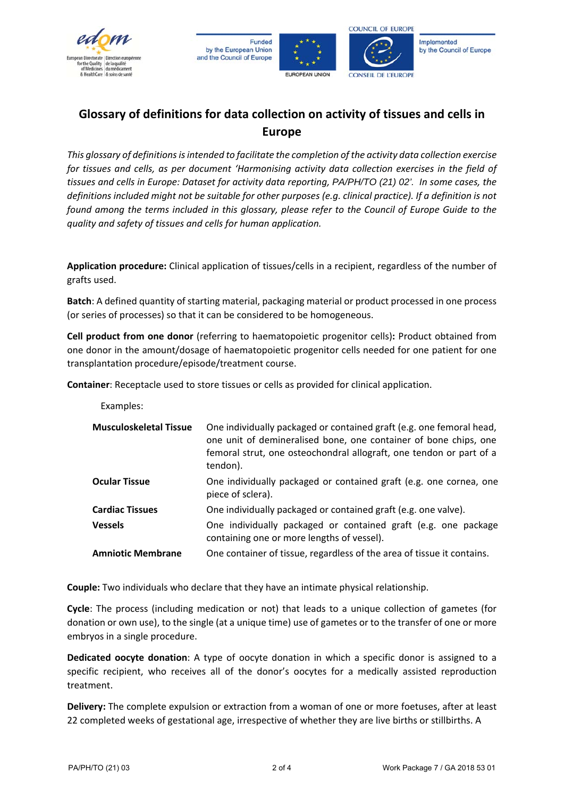





## **Glossary of definitions for data collection on activity of tissues and cells in Europe**

*This glossary of definitions is intended to facilitate the completion of the activity data collection exercise for tissues and cells, as per document 'Harmonising activity data collection exercises in the field of tissues and cells in Europe: Dataset for activity data reporting, PA/PH/TO (21) 02'. In some cases, the definitions included might not be suitable for other purposes (e.g. clinical practice). If a definition is not found among the terms included in this glossary, please refer to the Council of Europe Guide to the quality and safety of tissues and cells for human application.* 

**Application procedure:** Clinical application of tissues/cells in a recipient, regardless of the number of grafts used.

**Batch**: A defined quantity of starting material, packaging material or product processed in one process (or series of processes) so that it can be considered to be homogeneous.

**Cell product from one donor** (referring to haematopoietic progenitor cells)**:** Product obtained from one donor in the amount/dosage of haematopoietic progenitor cells needed for one patient for one transplantation procedure/episode/treatment course.

**Container**: Receptacle used to store tissues or cells as provided for clinical application.

Examples:

| <b>Musculoskeletal Tissue</b> | One individually packaged or contained graft (e.g. one femoral head,<br>one unit of demineralised bone, one container of bone chips, one<br>femoral strut, one osteochondral allograft, one tendon or part of a<br>tendon). |
|-------------------------------|-----------------------------------------------------------------------------------------------------------------------------------------------------------------------------------------------------------------------------|
| <b>Ocular Tissue</b>          | One individually packaged or contained graft (e.g. one cornea, one<br>piece of sclera).                                                                                                                                     |
| <b>Cardiac Tissues</b>        | One individually packaged or contained graft (e.g. one valve).                                                                                                                                                              |
| <b>Vessels</b>                | One individually packaged or contained graft (e.g. one package<br>containing one or more lengths of vessel).                                                                                                                |
| <b>Amniotic Membrane</b>      | One container of tissue, regardless of the area of tissue it contains.                                                                                                                                                      |

**Couple:** Two individuals who declare that they have an intimate physical relationship.

**Cycle**: The process (including medication or not) that leads to a unique collection of gametes (for donation or own use), to the single (at a unique time) use of gametes or to the transfer of one or more embryos in a single procedure.

**Dedicated oocyte donation**: A type of oocyte donation in which a specific donor is assigned to a specific recipient, who receives all of the donor's oocytes for a medically assisted reproduction treatment.

**Delivery:** The complete expulsion or extraction from a woman of one or more foetuses, after at least 22 completed weeks of gestational age, irrespective of whether they are live births or stillbirths. A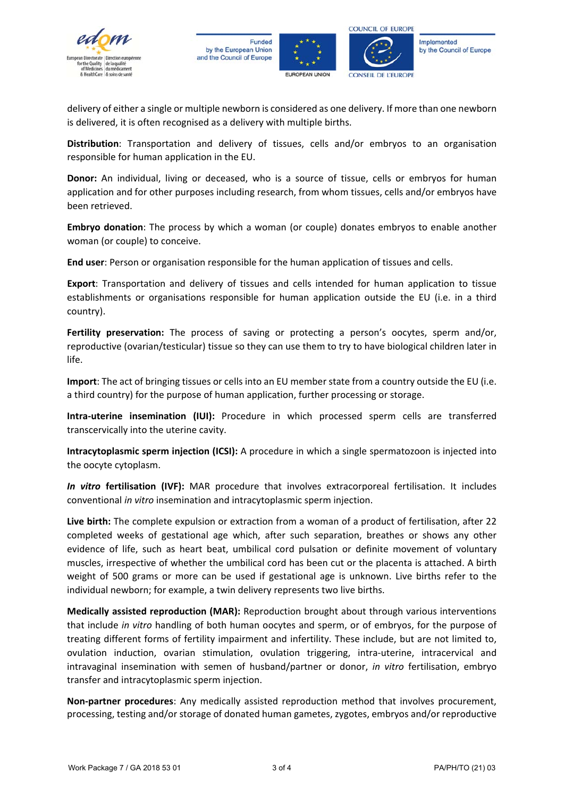





Implemented by the Council of Europe

delivery of either a single or multiple newborn is considered as one delivery. If more than one newborn is delivered, it is often recognised as a delivery with multiple births.

**Distribution**: Transportation and delivery of tissues, cells and/or embryos to an organisation responsible for human application in the EU.

**Donor:** An individual, living or deceased, who is a source of tissue, cells or embryos for human application and for other purposes including research, from whom tissues, cells and/or embryos have been retrieved.

**Embryo donation**: The process by which a woman (or couple) donates embryos to enable another woman (or couple) to conceive.

**End user**: Person or organisation responsible for the human application of tissues and cells.

**Export**: Transportation and delivery of tissues and cells intended for human application to tissue establishments or organisations responsible for human application outside the EU (i.e. in a third country).

**Fertility preservation:** The process of saving or protecting a person's oocytes, sperm and/or, reproductive (ovarian/testicular) tissue so they can use them to try to have biological children later in life.

**Import**: The act of bringing tissues or cells into an EU member state from a country outside the EU (i.e. a third country) for the purpose of human application, further processing or storage.

**Intra-uterine insemination (IUI):** Procedure in which processed sperm cells are transferred transcervically into the uterine cavity.

**Intracytoplasmic sperm injection (ICSI):** A procedure in which a single spermatozoon is injected into the oocyte cytoplasm.

*In vitro* **fertilisation (IVF):** MAR procedure that involves extracorporeal fertilisation. It includes conventional *in vitro* insemination and intracytoplasmic sperm injection.

**Live birth:** The complete expulsion or extraction from a woman of a product of fertilisation, after 22 completed weeks of gestational age which, after such separation, breathes or shows any other evidence of life, such as heart beat, umbilical cord pulsation or definite movement of voluntary muscles, irrespective of whether the umbilical cord has been cut or the placenta is attached. A birth weight of 500 grams or more can be used if gestational age is unknown. Live births refer to the individual newborn; for example, a twin delivery represents two live births.

**Medically assisted reproduction (MAR):** Reproduction brought about through various interventions that include *in vitro* handling of both human oocytes and sperm, or of embryos, for the purpose of treating different forms of fertility impairment and infertility. These include, but are not limited to, ovulation induction, ovarian stimulation, ovulation triggering, intra-uterine, intracervical and intravaginal insemination with semen of husband/partner or donor, *in vitro* fertilisation, embryo transfer and intracytoplasmic sperm injection.

**Non-partner procedures**: Any medically assisted reproduction method that involves procurement, processing, testing and/or storage of donated human gametes, zygotes, embryos and/or reproductive